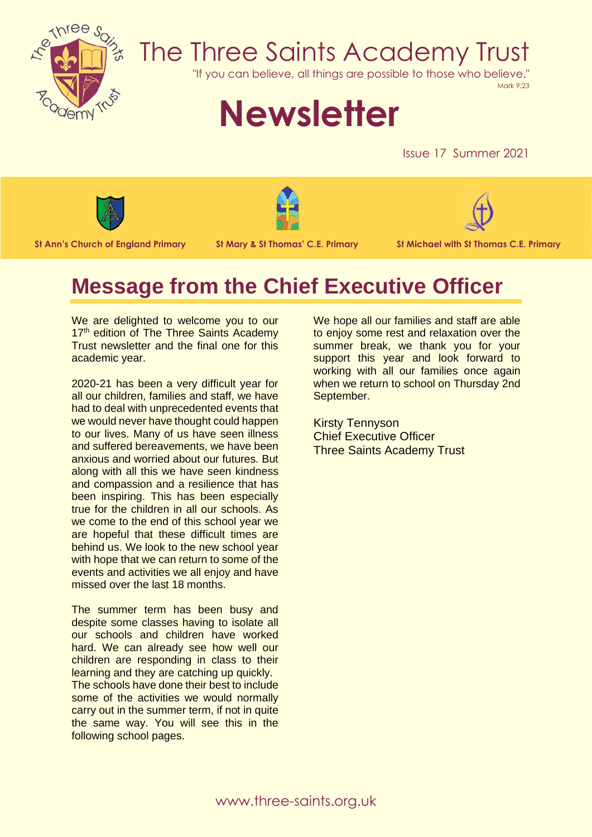

## The Three Saints Academy Trust

"If you can believe, all things are possible to those who believe."

Mark 9:23

# **Newsletter**

Issue 17 Summer 2021







**St Ann's Church of England Primary St Mary & St Thomas' C.E. Primary St Michael with St Thomas C.E. Primary**

### **Message from the Chief Executive Officer**

We are delighted to welcome you to our 17<sup>th</sup> edition of The Three Saints Academy Trust newsletter and the final one for this academic year.

2020-21 has been a very difficult year for all our children, families and staff, we have had to deal with unprecedented events that we would never have thought could happen to our lives. Many of us have seen illness and suffered bereavements, we have been anxious and worried about our futures. But along with all this we have seen kindness and compassion and a resilience that has been inspiring. This has been especially true for the children in all our schools. As we come to the end of this school year we are hopeful that these difficult times are behind us. We look to the new school year with hope that we can return to some of the events and activities we all enjoy and have missed over the last 18 months.

The summer term has been busy and despite some classes having to isolate all our schools and children have worked hard. We can already see how well our children are responding in class to their learning and they are catching up quickly.

The schools have done their best to include some of the activities we would normally carry out in the summer term, if not in quite the same way. You will see this in the following school pages.

We hope all our families and staff are able to enjoy some rest and relaxation over the summer break, we thank you for your support this year and look forward to working with all our families once again when we return to school on Thursday 2nd September.

Kirsty Tennyson Chief Executive Officer Three Saints Academy Trust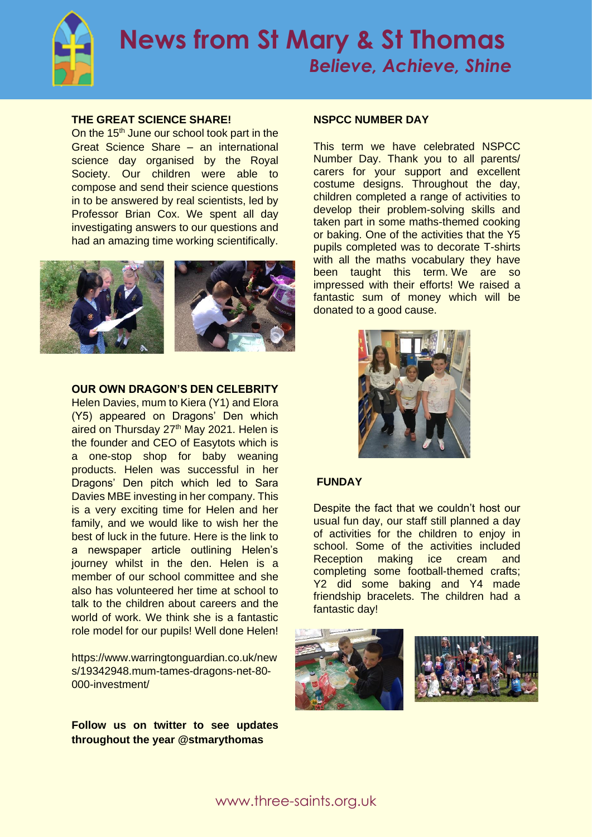

#### **THE GREAT SCIENCE SHARE!**

On the  $15<sup>th</sup>$  June our school took part in the Great Science Share – an international science day organised by the Royal Society. Our children were able to compose and send their science questions in to be answered by real scientists, led by Professor Brian Cox. We spent all day investigating answers to our questions and had an amazing time working scientifically.



#### **OUR OWN DRAGON'S DEN CELEBRITY**

Helen Davies, mum to Kiera (Y1) and Elora (Y5) appeared on Dragons' Den which aired on Thursday 27<sup>th</sup> May 2021. Helen is the founder and CEO of Easytots which is a one-stop shop for baby weaning products. Helen was successful in her Dragons' Den pitch which led to Sara Davies MBE investing in her company. This is a very exciting time for Helen and her family, and we would like to wish her the best of luck in the future. Here is the link to a newspaper article outlining Helen's journey whilst in the den. Helen is a member of our school committee and she also has volunteered her time at school to talk to the children about careers and the world of work. We think she is a fantastic role model for our pupils! Well done Helen!

https://www.warringtonguardian.co.uk/new s/19342948.mum-tames-dragons-net-80- 000-investment/

**Follow us on twitter to see updates throughout the year @stmarythomas**

#### **NSPCC NUMBER DAY**

This term we have celebrated NSPCC Number Day. Thank you to all parents/ carers for your support and excellent costume designs. Throughout the day, children completed a range of activities to develop their problem-solving skills and taken part in some maths-themed cooking or baking. One of the activities that the Y5 pupils completed was to decorate T-shirts with all the maths vocabulary they have been taught this term. We are so impressed with their efforts! We raised a fantastic sum of money which will be donated to a good cause.



#### **FUNDAY**

Despite the fact that we couldn't host our usual fun day, our staff still planned a day of activities for the children to enjoy in school. Some of the activities included Reception making ice cream and completing some football-themed crafts; Y2 did some baking and Y4 made friendship bracelets. The children had a fantastic day!



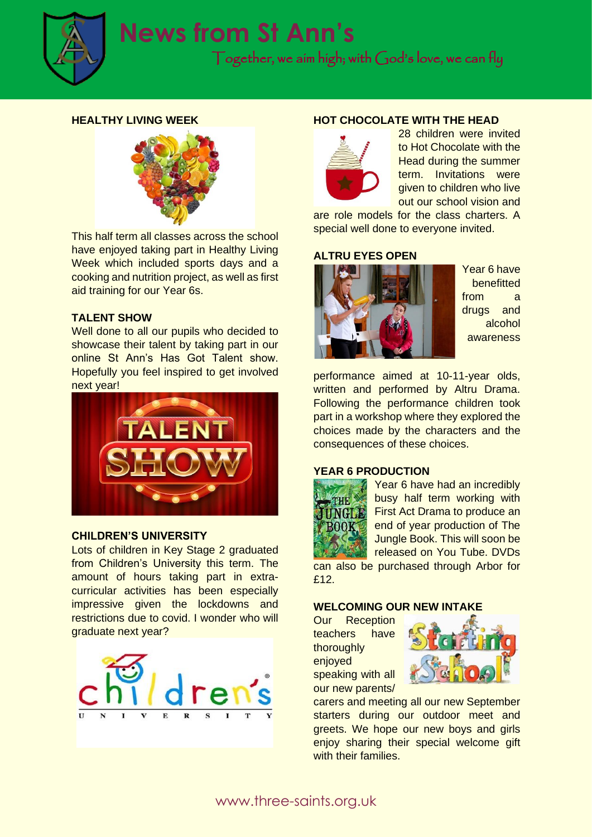

#### **HEALTHY LIVING WEEK**



This half term all classes across the school have enjoyed taking part in Healthy Living Week which included sports days and a cooking and nutrition project, as well as first aid training for our Year 6s.

#### **TALENT SHOW**

Well done to all our pupils who decided to showcase their talent by taking part in our online St Ann's Has Got Talent show. Hopefully you feel inspired to get involved next year!



#### **CHILDREN'S UNIVERSITY**

Lots of children in Key Stage 2 graduated from Children's University this term. The amount of hours taking part in extracurricular activities has been especially impressive given the lockdowns and restrictions due to covid. I wonder who will graduate next year?



#### **HOT CHOCOLATE WITH THE HEAD**



28 children were invited to Hot Chocolate with the Head during the summer term. Invitations were given to children who live out our school vision and

are role models for the class charters. A special well done to everyone invited.

#### **ALTRU EYES OPEN**



Year 6 have benefitted from a drugs and alcohol awareness

performance aimed at 10-11-year olds, written and performed by Altru Drama. Following the performance children took part in a workshop where they explored the choices made by the characters and the consequences of these choices.

#### **YEAR 6 PRODUCTION**



Year 6 have had an incredibly busy half term working with First Act Drama to produce an end of year production of The Jungle Book. This will soon be released on You Tube. DVDs

can also be purchased through Arbor for £12.

#### **WELCOMING OUR NEW INTAKE**

Our Reception teachers have thoroughly enjoved speaking with all our new parents/



carers and meeting all our new September starters during our outdoor meet and greets. We hope our new boys and girls enjoy sharing their special welcome gift with their families.